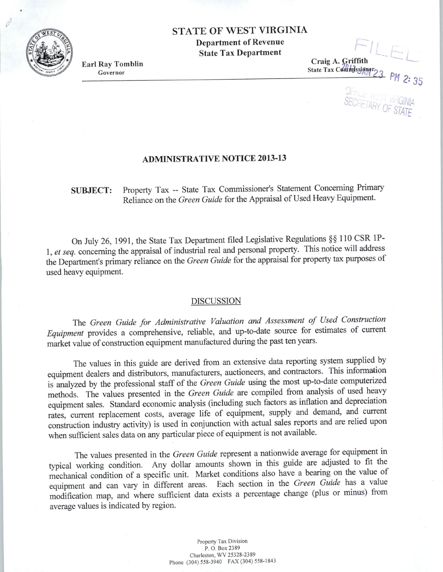## STATE OF WEST VIRGINIA

Department of Revenue State Tax Department

Earl Ray Tomblin Governor

Craig A. Griffith State Tax Coulmissigner

r.J.

r-

PH 2: 35

· *.G'JN!A*  i.ihr *0:: STATE* 

## ADMINISTRATIVE NOTICE 2013-13

SUBJECT: Property Tax -- State Tax Commissioner's Statement Concerning Primary Reliance on the *Green Guide* for the Appraisal of Used Heavy Equipment.

On July 26, 1991, the State Tax Department filed Legislative Regulations§§ 110 CSR lP-1, *et seq.* concerning the appraisal of industrial real and personal property. This notice will address the Department's primary reliance on the *Green Guide* for the appraisal for property tax purposes of used heavy equipment.

## DISCUSSION

The *Green Guide for Administrative Valuation and Assessment of Used Construction Equipment* provides a comprehensive, reliable, and up-to-date source for estimates of current market value of construction equipment manufactured during the past ten years.

The values in this guide are derived from an extensive data reporting system supplied by equipment dealers and distributors, manufacturers, auctioneers, and contractors. This information is analyzed by the professional staff of the *Green Guide* using the most up-to-date computerized methods. The values presented in the *Green Guide* are compiled from analysis of used heavy equipment sales. Standard economic analysis (including such factors as inflation and depreciation rates, current replacement costs, average life of equipment, supply and demand, and current construction industry activity) is used in conjunction with actual sales reports and are relied upon when sufficient sales data on any particular piece of equipment is not available.

The values presented in the *Green Guide* represent a nationwide average for equipment in typical working condition. Any dollar amounts shown in this guide are adjusted to fit the mechanical condition of a specific unit. Market conditions also have a bearing on the value of equipment and can vary in different areas. Each section in the *Green Guide* has a value modification map, and where sufficient data exists a percentage change (plus or minus) from average values is indicated by region.

> Property Tax Division P. 0. Box 2389 Charleston, WV 25328-2389 Phone (304) 558-3940 FAX (304) 558-1843